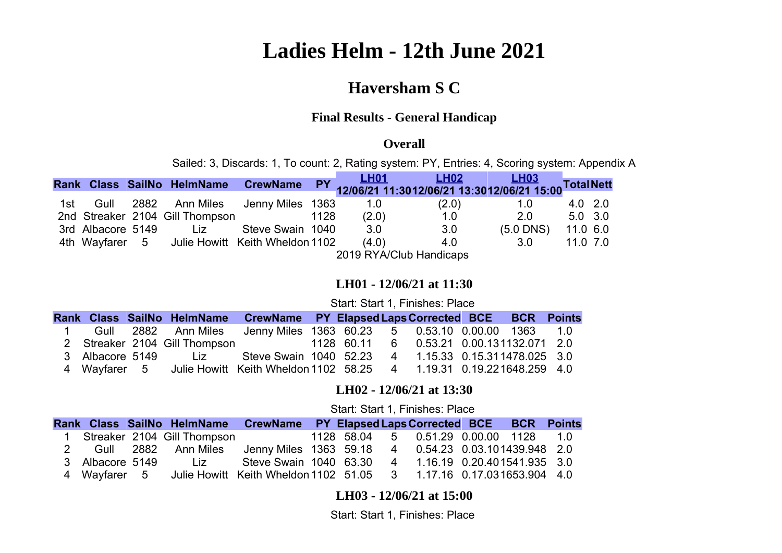# **Ladies Helm - 12th June 2021**

### **Haversham S C**

### **Final Results - General Handicap**

#### **Overall**

Sailed: 3, Discards: 1, To count: 2, Rating system: PY, Entries: 4, Scoring system: Appendix A

|     |                   | Rank Class SailNo HelmName CrewName            |                  |      |       |       |             |              |  |
|-----|-------------------|------------------------------------------------|------------------|------|-------|-------|-------------|--------------|--|
|     |                   |                                                |                  |      |       |       |             |              |  |
| 1st | Gull              | 2882 Ann Miles                                 | Jenny Miles 1363 |      | 1.0   | (2.0) | 1.0         | $4.0$ 2.0    |  |
|     |                   | 2nd Streaker 2104 Gill Thompson                |                  | 1128 | (2.0) | 1.0   | 2.0         | $5.0$ 3.0    |  |
|     | 3rd Albacore 5149 | Liz.                                           | Steve Swain 1040 |      | 3.0   | 3.0   | $(5.0$ DNS) | 11.0 6.0     |  |
|     |                   | 4th Wayfarer 5 Julie Howitt Keith Wheldon 1102 |                  |      | (4.0) | 4.0   | 3.0         | $11.0$ $7.0$ |  |
|     |                   | 2019 RYA/Club Handicaps                        |                  |      |       |       |             |              |  |

#### <span id="page-0-0"></span>**LH01 - 12/06/21 at 11:30**

Start: Start 1, Finishes: Place

|              |                               | Rank Class SailNo HelmName CrewName PY Elapsed Laps Corrected BCE BCR Points |            |                                     |  |         |
|--------------|-------------------------------|------------------------------------------------------------------------------|------------|-------------------------------------|--|---------|
|              |                               | Gull 2882 Ann Miles Jenny Miles 1363 60.23 5 0.53.10 0.00.00 1363            |            |                                     |  | $-1$ () |
|              | 2 Streaker 2104 Gill Thompson |                                                                              | 1128 60.11 | 6  0.53.21  0.00.131132.071  2.0    |  |         |
|              |                               | 3 Albacore 5149 Liz Steve Swain 1040 52.23                                   |            | 4   1.15.33   0.15.311478.025   3.0 |  |         |
| 4 Wavfarer 5 |                               | Julie Howitt Keith Wheldon 1102 58.25 4 1.19.31 0.19.221648.259 4.0          |            |                                     |  |         |

#### <span id="page-0-2"></span>**LH02 - 12/06/21 at 13:30**

#### Start: Start 1, Finishes: Place

|              |                               | Rank Class SailNo HelmName CrewName PY Elapsed Laps Corrected BCE BCR Points |  |                                       |  |  |
|--------------|-------------------------------|------------------------------------------------------------------------------|--|---------------------------------------|--|--|
|              | 1 Streaker 2104 Gill Thompson |                                                                              |  | 1128 58.04 5 0.51.29 0.00.00 1128 1.0 |  |  |
|              | 2 Gull 2882 Ann Miles         | Jenny Miles 1363 59.18                                                       |  | 4  0.54.23  0.03.101439.948  2.0      |  |  |
|              | 3 Albacore 5149 Liz           | Steve Swain 1040 63.30                                                       |  | 4   1.16.19   0.20.401541.935   3.0   |  |  |
| 4 Wayfarer 5 |                               | Julie Howitt Keith Wheldon 1102 51.05 3 1.17.16 0.17.031653.904 4.0          |  |                                       |  |  |

<span id="page-0-1"></span>**LH03 - 12/06/21 at 15:00**

Start: Start 1, Finishes: Place